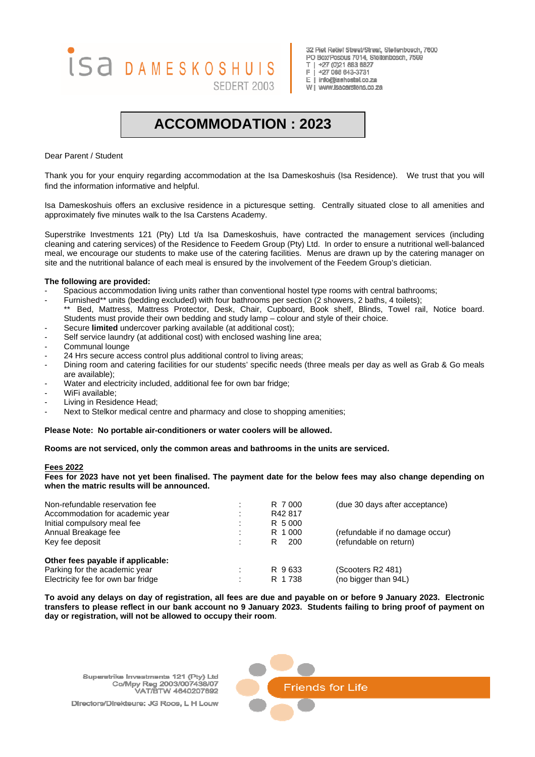# ISA DAMESKOSHUIS SEDERT 2003

32 Piet Retief Street/Straat, Stellenbosch, 7600 PO Box/Posbus 7014, Stellenbosch, 7599 T | +27 (0)21 883 8827  $\mathbb{R}^+$ +27 086 643-3731 E | info@isahostel.co.za wi WWW.isacarstens.co.za

# **ACCOMMODATION : 2023**

Dear Parent / Student

Thank you for your enquiry regarding accommodation at the Isa Dameskoshuis (Isa Residence). We trust that you will find the information informative and helpful.

Isa Dameskoshuis offers an exclusive residence in a picturesque setting. Centrally situated close to all amenities and approximately five minutes walk to the Isa Carstens Academy.

Superstrike Investments 121 (Pty) Ltd t/a Isa Dameskoshuis, have contracted the management services (including cleaning and catering services) of the Residence to Feedem Group (Pty) Ltd. In order to ensure a nutritional well-balanced meal, we encourage our students to make use of the catering facilities. Menus are drawn up by the catering manager on site and the nutritional balance of each meal is ensured by the involvement of the Feedem Group's dietician.

# **The following are provided:**

- Spacious accommodation living units rather than conventional hostel type rooms with central bathrooms;
- Furnished\*\* units (bedding excluded) with four bathrooms per section (2 showers, 2 baths, 4 toilets);
- Bed, Mattress, Mattress Protector, Desk, Chair, Cupboard, Book shelf, Blinds, Towel rail, Notice board. Students must provide their own bedding and study lamp – colour and style of their choice.
- Secure **limited** undercover parking available (at additional cost);
- Self service laundry (at additional cost) with enclosed washing line area;
- Communal lounge
- 24 Hrs secure access control plus additional control to living areas;
- Dining room and catering facilities for our students' specific needs (three meals per day as well as Grab & Go meals are available);
- Water and electricity included, additional fee for own bar fridge;
- WiFi available;
- Living in Residence Head;
- Next to Stelkor medical centre and pharmacy and close to shopping amenities;

# **Please Note: No portable air-conditioners or water coolers will be allowed.**

**Rooms are not serviced, only the common areas and bathrooms in the units are serviced.** 

# **Fees 2022**

**Fees for 2023 have not yet been finalised. The payment date for the below fees may also change depending on when the matric results will be announced.** 

| Non-refundable reservation fee<br>Accommodation for academic year<br>Initial compulsory meal fee         |     | R 7000<br>R42817<br>R 5000 | (due 30 days after acceptance)                            |
|----------------------------------------------------------------------------------------------------------|-----|----------------------------|-----------------------------------------------------------|
| Annual Breakage fee<br>Key fee deposit                                                                   |     | R 1000<br>200<br>R         | (refundable if no damage occur)<br>(refundable on return) |
| Other fees payable if applicable:<br>Parking for the academic year<br>Electricity fee for own bar fridge | . . | R 9633<br>R 1738           | (Scooters R2 481)<br>(no bigger than 94L)                 |

**To avoid any delays on day of registration, all fees are due and payable on or before 9 January 2023. Electronic transfers to please reflect in our bank account no 9 January 2023. Students failing to bring proof of payment on day or registration, will not be allowed to occupy their room**.

Superstrike Investments 121 (Pty) Ltd Co/Mpy Reg 2003/007438/07 VAT/BTW 4640207892

Directors/Direkteure: JG Roos, L H Louw